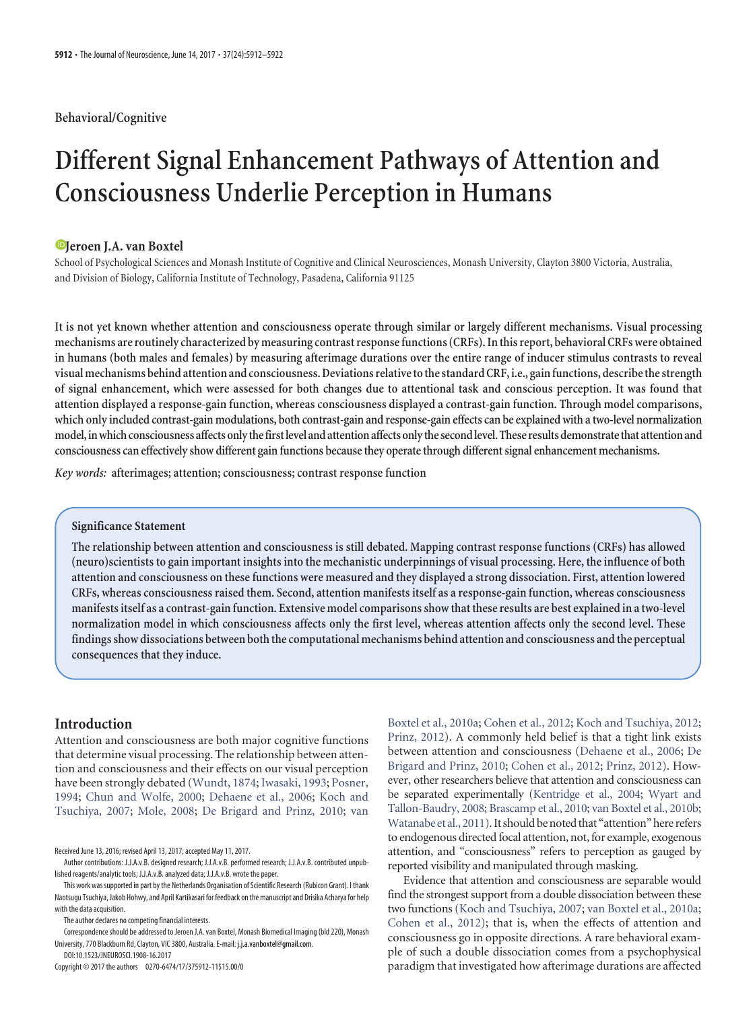# **Behavioral/Cognitive**

# **Different Signal Enhancement Pathways of Attention and Consciousness Underlie Perception in Humans**

# **XJeroen J.A. van Boxtel**

School of Psychological Sciences and Monash Institute of Cognitive and Clinical Neurosciences, Monash University, Clayton 3800 Victoria, Australia, and Division of Biology, California Institute of Technology, Pasadena, California 91125

**It is not yet known whether attention and consciousness operate through similar or largely different mechanisms. Visual processing mechanisms are routinely characterized by measuring contrast responsefunctions (CRFs). Inthis report, behavioral CRFs were obtained in humans (both males and females) by measuring afterimage durations over the entire range of inducer stimulus contrasts to reveal visualmechanisms behind attention and consciousness. Deviations relativetothe standard CRF,i.e., gainfunctions, describethe strength of signal enhancement, which were assessed for both changes due to attentional task and conscious perception. It was found that attention displayed a response-gain function, whereas consciousness displayed a contrast-gain function. Through model comparisons, which only included contrast-gain modulations, both contrast-gain and response-gain effects can be explained with a two-level normalization model,inwhich consciousness affectsonlythefirstlevel and attention affectsonlythe secondlevel. These resultsdemonstratethat attention and consciousness can effectively show different gain functions because they operate through different signal enhancement mechanisms.**

*Key words:* **afterimages; attention; consciousness; contrast response function**

## **Significance Statement**

**The relationship between attention and consciousness is still debated. Mapping contrast response functions (CRFs) has allowed (neuro)scientists to gain important insights into the mechanistic underpinnings of visual processing. Here, the influence of both attention and consciousness on these functions were measured and they displayed a strong dissociation. First, attention lowered CRFs, whereas consciousness raised them. Second, attention manifests itself as a response-gain function, whereas consciousness manifests itself as a contrast-gain function. Extensive model comparisons show that these results are best explained in a two-level normalization model in which consciousness affects only the first level, whereas attention affects only the second level. These findings show dissociations between boththe computational mechanisms behind attention and consciousness andthe perceptual consequences that they induce.**

# **Introduction**

Attention and consciousness are both major cognitive functions that determine visual processing. The relationship between attention and consciousness and their effects on our visual perception have been strongly debated [\(Wundt, 1874;](#page-10-0) [Iwasaki, 1993;](#page-10-1) [Posner,](#page-10-2) [1994;](#page-10-2) [Chun and Wolfe, 2000;](#page-9-0) [Dehaene et al., 2006;](#page-9-1) [Koch and](#page-10-3) [Tsuchiya, 2007;](#page-10-3) [Mole, 2008;](#page-10-4) [De Brigard and Prinz, 2010;](#page-9-2) [van](#page-10-5)

The author declares no competing financial interests.

Correspondence should be addressed to Jeroen J.A. van Boxtel, Monash Biomedical Imaging (bld 220), Monash University, 770 Blackburn Rd, Clayton, VIC 3800, Australia. E-mail: j.j.a.vanboxtel@gmail.com. DOI:10.1523/JNEUROSCI.1908-16.2017

Copyright © 2017 the authors 0270-6474/17/375912-11\$15.00/0

[Boxtel et al., 2010a;](#page-10-5) [Cohen et al., 2012;](#page-9-3) [Koch and Tsuchiya, 2012;](#page-10-6) [Prinz, 2012\)](#page-10-7). A commonly held belief is that a tight link exists between attention and consciousness [\(Dehaene et al., 2006;](#page-9-1) [De](#page-9-2) [Brigard and Prinz, 2010;](#page-9-2) [Cohen et al., 2012;](#page-9-3) [Prinz, 2012\)](#page-10-7). However, other researchers believe that attention and consciousness can be separated experimentally [\(Kentridge et al., 2004;](#page-10-8) [Wyart and](#page-10-9) [Tallon-Baudry, 2008;](#page-10-9) [Brascamp et al., 2010;](#page-9-4) [van Boxtel et al., 2010b;](#page-10-10) [Watanabe et al., 2011\)](#page-10-11). It should be noted that "attention" here refers to endogenous directed focal attention, not, for example, exogenous attention, and "consciousness" refers to perception as gauged by reported visibility and manipulated through masking.

Evidence that attention and consciousness are separable would find the strongest support from a double dissociation between these two functions [\(Koch and Tsuchiya, 2007;](#page-10-3) [van Boxtel et al., 2010a;](#page-10-5) [Cohen et al., 2012\)](#page-9-3); that is, when the effects of attention and consciousness go in opposite directions. A rare behavioral example of such a double dissociation comes from a psychophysical paradigm that investigated how afterimage durations are affected

Received June 13, 2016; revised April 13, 2017; accepted May 11, 2017.

Author contributions: J.J.A.v.B. designed research; J.J.A.v.B. performed research; J.J.A.v.B. contributed unpublished reagents/analytic tools; J.J.A.v.B. analyzed data; J.J.A.v.B. wrote the paper.

This work was supported in part by the Netherlands Organisation of Scientific Research (Rubicon Grant). I thank Naotsugu Tsuchiya, Jakob Hohwy, and April Kartikasari for feedback on the manuscript and Drisika Acharya for help with the data acquisition.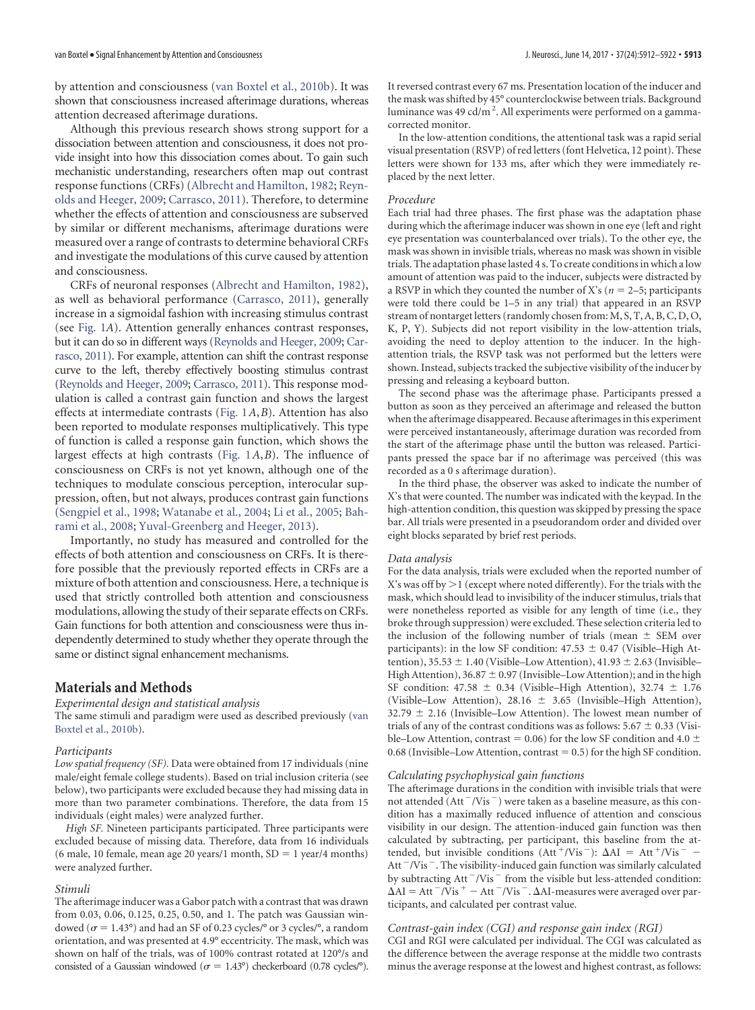by attention and consciousness [\(van Boxtel et al., 2010b\)](#page-10-10). It was shown that consciousness increased afterimage durations, whereas attention decreased afterimage durations.

Although this previous research shows strong support for a dissociation between attention and consciousness, it does not provide insight into how this dissociation comes about. To gain such mechanistic understanding, researchers often map out contrast response functions (CRFs) [\(Albrecht and Hamilton, 1982;](#page-9-5) [Reyn](#page-10-12)[olds and Heeger, 2009;](#page-10-12) [Carrasco, 2011\)](#page-9-6). Therefore, to determine whether the effects of attention and consciousness are subserved by similar or different mechanisms, afterimage durations were measured over a range of contrasts to determine behavioral CRFs and investigate the modulations of this curve caused by attention and consciousness.

CRFs of neuronal responses [\(Albrecht and Hamilton, 1982\)](#page-9-5), as well as behavioral performance [\(Carrasco, 2011\)](#page-9-6), generally increase in a sigmoidal fashion with increasing stimulus contrast (see [Fig. 1](#page-3-0)*A*). Attention generally enhances contrast responses, but it can do so in different ways [\(Reynolds and Heeger, 2009;](#page-10-12) [Car](#page-9-6)[rasco, 2011\)](#page-9-6). For example, attention can shift the contrast response curve to the left, thereby effectively boosting stimulus contrast [\(Reynolds and Heeger, 2009;](#page-10-12) [Carrasco, 2011\)](#page-9-6). This response modulation is called a contrast gain function and shows the largest effects at intermediate contrasts [\(Fig. 1](#page-3-0)*A*,*B*). Attention has also been reported to modulate responses multiplicatively. This type of function is called a response gain function, which shows the largest effects at high contrasts [\(Fig. 1](#page-3-0)*A*,*B*). The influence of consciousness on CRFs is not yet known, although one of the techniques to modulate conscious perception, interocular suppression, often, but not always, produces contrast gain functions [\(Sengpiel et al., 1998;](#page-10-13) [Watanabe et al., 2004;](#page-10-14) [Li et al., 2005;](#page-10-15) [Bah](#page-9-7)[rami et al., 2008;](#page-9-7) [Yuval-Greenberg and Heeger, 2013\)](#page-10-16).

Importantly, no study has measured and controlled for the effects of both attention and consciousness on CRFs. It is therefore possible that the previously reported effects in CRFs are a mixture of both attention and consciousness. Here, a technique is used that strictly controlled both attention and consciousness modulations, allowing the study of their separate effects on CRFs. Gain functions for both attention and consciousness were thus independently determined to study whether they operate through the same or distinct signal enhancement mechanisms.

# **Materials and Methods**

*Experimental design and statistical analysis*

The same stimuli and paradigm were used as described previously [\(van](#page-10-10) [Boxtel et al., 2010b\)](#page-10-10).

#### *Participants*

*Low spatial frequency (SF).* Data were obtained from 17 individuals (nine male/eight female college students). Based on trial inclusion criteria (see below), two participants were excluded because they had missing data in more than two parameter combinations. Therefore, the data from 15 individuals (eight males) were analyzed further.

*High SF.* Nineteen participants participated. Three participants were excluded because of missing data. Therefore, data from 16 individuals  $(6 \text{ male}, 10 \text{ female}, \text{mean age } 20 \text{ years}/1 \text{ month}, SD = 1 \text{ year}/4 \text{ months})$ were analyzed further.

#### *Stimuli*

The afterimage inducer was a Gabor patch with a contrast that was drawn from 0.03, 0.06, 0.125, 0.25, 0.50, and 1. The patch was Gaussian windowed ( $\sigma$  = 1.43°) and had an SF of 0.23 cycles/° or 3 cycles/°, a random orientation, and was presented at 4.9° eccentricity. The mask, which was shown on half of the trials, was of 100% contrast rotated at 120°/s and consisted of a Gaussian windowed ( $\sigma = 1.43^{\circ}$ ) checkerboard (0.78 cycles/°).

It reversed contrast every 67 ms. Presentation location of the inducer and the mask was shifted by 45° counterclockwise between trials. Background luminance was 49 cd/m<sup>2</sup>. All experiments were performed on a gammacorrected monitor.

In the low-attention conditions, the attentional task was a rapid serial visual presentation (RSVP) of red letters (font Helvetica, 12 point). These letters were shown for 133 ms, after which they were immediately replaced by the next letter.

## *Procedure*

Each trial had three phases. The first phase was the adaptation phase during which the afterimage inducer was shown in one eye (left and right eye presentation was counterbalanced over trials). To the other eye, the mask was shown in invisible trials, whereas no mask was shown in visible trials. The adaptation phase lasted 4 s. To create conditions in which a low amount of attention was paid to the inducer, subjects were distracted by a RSVP in which they counted the number of X's ( $n = 2-5$ ; participants were told there could be 1–5 in any trial) that appeared in an RSVP stream of nontarget letters (randomly chosen from: M, S, T, A, B, C, D, O, K, P, Y). Subjects did not report visibility in the low-attention trials, avoiding the need to deploy attention to the inducer. In the highattention trials, the RSVP task was not performed but the letters were shown. Instead, subjects tracked the subjective visibility of the inducer by pressing and releasing a keyboard button.

The second phase was the afterimage phase. Participants pressed a button as soon as they perceived an afterimage and released the button when the afterimage disappeared. Because afterimages in this experiment were perceived instantaneously, afterimage duration was recorded from the start of the afterimage phase until the button was released. Participants pressed the space bar if no afterimage was perceived (this was recorded as a 0 s afterimage duration).

In the third phase, the observer was asked to indicate the number of X's that were counted. The number was indicated with the keypad. In the high-attention condition, this question was skipped by pressing the space bar. All trials were presented in a pseudorandom order and divided over eight blocks separated by brief rest periods.

#### *Data analysis*

For the data analysis, trials were excluded when the reported number of X's was off by  $\geq$  1 (except where noted differently). For the trials with the mask, which should lead to invisibility of the inducer stimulus, trials that were nonetheless reported as visible for any length of time (i.e., they broke through suppression) were excluded. These selection criteria led to the inclusion of the following number of trials (mean  $\pm$  SEM over participants): in the low SF condition:  $47.53 \pm 0.47$  (Visible–High Attention),  $35.53 \pm 1.40$  (Visible–Low Attention),  $41.93 \pm 2.63$  (Invisible– High Attention),  $36.87 \pm 0.97$  (Invisible–Low Attention); and in the high SF condition:  $47.58 \pm 0.34$  (Visible–High Attention),  $32.74 \pm 1.76$ (Visible–Low Attention), 28.16  $\pm$  3.65 (Invisible–High Attention),  $32.79 \pm 2.16$  (Invisible–Low Attention). The lowest mean number of trials of any of the contrast conditions was as follows:  $5.67 \pm 0.33$  (Visible–Low Attention, contrast = 0.06) for the low SF condition and 4.0  $\pm$  $0.68$  (Invisible–Low Attention, contrast  $= 0.5$ ) for the high SF condition.

## *Calculating psychophysical gain functions*

The afterimage durations in the condition with invisible trials that were not attended (Att $\frac{-}{V}$ is $\frac{-}{V}$ ) were taken as a baseline measure, as this condition has a maximally reduced influence of attention and conscious visibility in our design. The attention-induced gain function was then calculated by subtracting, per participant, this baseline from the attended, but invisible conditions (Att<sup>+</sup>/Vis<sup>-</sup>):  $\Delta AI = Att^{+}/Vis^{-}$  -Att $^-$ Vis $^-$  . The visibility-induced gain function was similarly calculated by subtracting Att $^{-}/\mathrm{Vis}^{-}$  from the visible but less-attended condition:  $\Delta$ AI = Att <sup>-</sup>/Vis <sup>+</sup> - Att <sup>-</sup>/Vis <sup>-</sup> .  $\Delta$ AI-measures were averaged over participants, and calculated per contrast value.

#### *Contrast-gain index (CGI) and response gain index (RGI)*

CGI and RGI were calculated per individual. The CGI was calculated as the difference between the average response at the middle two contrasts minus the average response at the lowest and highest contrast, as follows: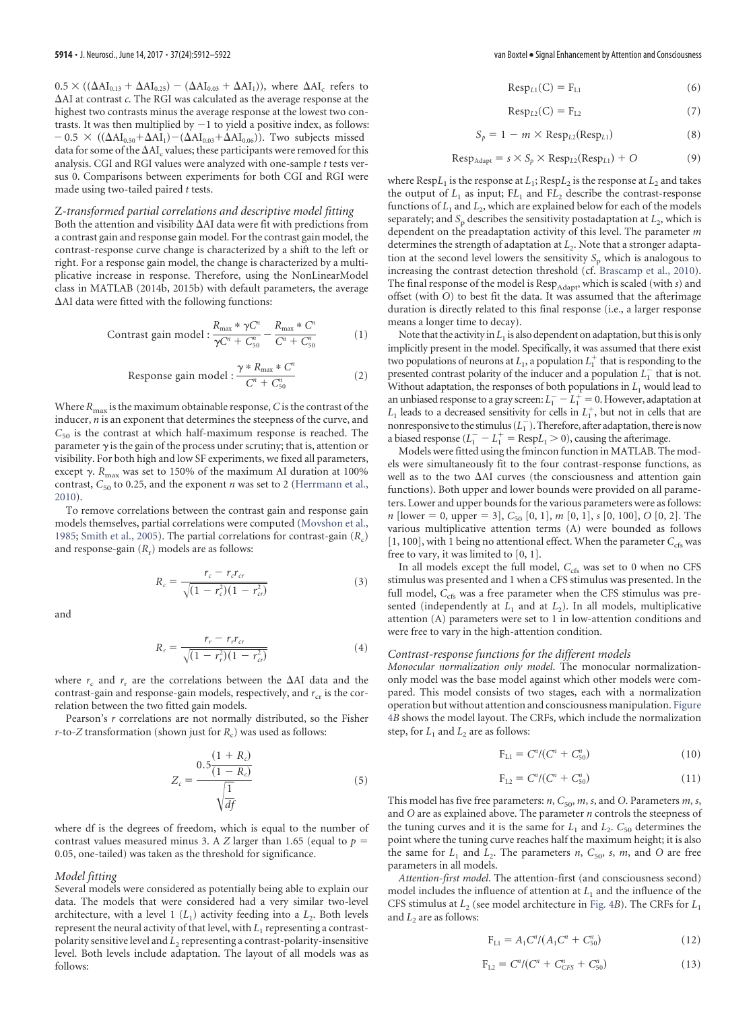$0.5 \times ((\Delta Al_{0.13} + \Delta Al_{0.25}) - (\Delta Al_{0.03} + \Delta Al_{1}))$ , where  $\Delta Al_{c}$  refers to AI at contrast *c*. The RGI was calculated as the average response at the highest two contrasts minus the average response at the lowest two contrasts. It was then multiplied by  $-1$  to yield a positive index, as follows:  $-0.5 \times ((\Delta A I_{0.50} + \Delta A I_{1}) - (\Delta A I_{0.03} + \Delta A I_{0.06}))$ . Two subjects missed data for some of the  $\Delta AI<sub>c</sub>$  values; these participants were removed for this analysis. CGI and RGI values were analyzed with one-sample *t* tests versus 0. Comparisons between experiments for both CGI and RGI were made using two-tailed paired *t* tests.

## Z*-transformed partial correlations and descriptive model fitting*

Both the attention and visibility  $\Delta$ AI data were fit with predictions from a contrast gain and response gain model. For the contrast gain model, the contrast-response curve change is characterized by a shift to the left or right. For a response gain model, the change is characterized by a multiplicative increase in response. Therefore, using the NonLinearModel class in MATLAB (2014b, 2015b) with default parameters, the average  $\Delta$ AI data were fitted with the following functions:

Contrast gain model : 
$$
\frac{R_{\text{max}} * \gamma C^n}{\gamma C^n + C_{50}^n} - \frac{R_{\text{max}} * C^n}{C^n + C_{50}^n}
$$
 (1)

Response gain model : 
$$
\frac{\gamma * R_{\max} * C^n}{C^n + C_{50}^n}
$$
 (2)

Where  $R_{\text{max}}$  is the maximum obtainable response,  $C$  is the contrast of the inducer, *n* is an exponent that determines the steepness of the curve, and  $C_{50}$  is the contrast at which half-maximum response is reached. The parameter  $\gamma$  is the gain of the process under scrutiny; that is, attention or visibility. For both high and low SF experiments, we fixed all parameters, except  $\gamma$ .  $R_{\text{max}}$  was set to 150% of the maximum AI duration at 100% contrast,  $C_{50}$  to 0.25, and the exponent  $n$  was set to 2 [\(Herrmann et al.,](#page-9-8) [2010\)](#page-9-8).

To remove correlations between the contrast gain and response gain models themselves, partial correlations were computed [\(Movshon et al.,](#page-10-17) [1985;](#page-10-17) [Smith et al., 2005\)](#page-10-18). The partial correlations for contrast-gain (*R<sub>c</sub>*) and response-gain  $(R_r)$  models are as follows:

$$
R_c = \frac{r_c - r_c r_{cr}}{\sqrt{(1 - r_c^2)(1 - r_{cr}^2)}}
$$
\n(3)

and

$$
R_r = \frac{r_r - r_r r_{cr}}{\sqrt{(1 - r_r^2)(1 - r_{cr}^2)}}
$$
(4)

where  $r_c$  and  $r_r$  are the correlations between the  $\Delta$ AI data and the contrast-gain and response-gain models, respectively, and  $r_{cr}$  is the correlation between the two fitted gain models.

Pearson's *r* correlations are not normally distributed, so the Fisher  $r$ -to-*Z* transformation (shown just for  $R_c$ ) was used as follows:

$$
Z_c = \frac{0.5 \frac{(1 + R_c)}{(1 - R_c)}}{\sqrt{\frac{1}{df}}}
$$
 (5)

where df is the degrees of freedom, which is equal to the number of contrast values measured minus 3. A *Z* larger than 1.65 (equal to  $p =$ 0.05, one-tailed) was taken as the threshold for significance.

#### *Model fitting*

Several models were considered as potentially being able to explain our data. The models that were considered had a very similar two-level architecture, with a level 1  $(L_1)$  activity feeding into a  $L_2$ . Both levels represent the neural activity of that level, with  $L_1$  representing a contrastpolarity sensitive level and *L*<sup>2</sup> representing a contrast-polarity-insensitive level. Both levels include adaptation. The layout of all models was as follows:

$$
Resp_{L1}(C) = F_{L1}
$$
 (6)

$$
Resp_{L2}(C) = F_{L2} \tag{7}
$$

$$
S_p = 1 - m \times \text{Resp}_{L2}(\text{Resp}_{L1})
$$
 (8)

$$
Resp_{Adapt} = s \times S_p \times Resp_{L2}(Resp_{L1}) + O \tag{9}
$$

where  $\text{Resp}L_1$  is the response at  $L_1$ ;  $\text{Resp}L_2$  is the response at  $L_2$  and takes the output of  $L_1$  as input;  $FL_1$  and  $FL_2$  describe the contrast-response functions of  $L_1$  and  $L_2$ , which are explained below for each of the models separately; and  $S_p$  describes the sensitivity postadaptation at  $L_2$ , which is dependent on the preadaptation activity of this level. The parameter *m* determines the strength of adaptation at *L*<sub>2</sub>. Note that a stronger adaptation at the second level lowers the sensitivity  $S_p$  which is analogous to increasing the contrast detection threshold (cf. [Brascamp et al., 2010\)](#page-9-4). The final response of the model is Resp<sub>Adapt</sub>, which is scaled (with *s*) and offset (with *O*) to best fit the data. It was assumed that the afterimage duration is directly related to this final response (i.e., a larger response means a longer time to decay).

Note that the activity in  $L_1$  is also dependent on adaptation, but this is only implicitly present in the model. Specifically, it was assumed that there exist two populations of neurons at  $L_1$ , a population  $L_1^+$  that is responding to the presented contrast polarity of the inducer and a population  $L_1^-$  that is not. Without adaptation, the responses of both populations in  $L_1$  would lead to an unbiased response to a gray screen:  $L_1^- - L_1^+ = 0$ . However, adaptation at  $L_1$  leads to a decreased sensitivity for cells in  $L_1^+$ , but not in cells that are nonresponsive to the stimulus  $(L_1^-)$ . Therefore, after adaptation, there is now a biased response  $(L_1^- - L_1^+$  =  $\text{Resp}L_1 > 0$ ), causing the afterimage.

Models were fitted using the fmincon function in MATLAB. The models were simultaneously fit to the four contrast-response functions, as well as to the two  $\Delta$ AI curves (the consciousness and attention gain functions). Both upper and lower bounds were provided on all parameters. Lower and upper bounds for the various parameters were as follows: *n* [lower = 0, upper = 3],  $C_{50}$  [0, 1], *m* [0, 1], *s* [0, 100], *O* [0, 2]. The various multiplicative attention terms (A) were bounded as follows [1, 100], with 1 being no attentional effect. When the parameter  $C_{\text{cfs}}$  was free to vary, it was limited to [0, 1].

In all models except the full model, C<sub>cfs</sub> was set to 0 when no CFS stimulus was presented and 1 when a CFS stimulus was presented. In the full model,  $C_{\text{cfs}}$  was a free parameter when the CFS stimulus was presented (independently at  $L_1$  and at  $L_2$ ). In all models, multiplicative attention (A) parameters were set to 1 in low-attention conditions and were free to vary in the high-attention condition.

### *Contrast-response functions for the different models*

*Monocular normalization only model*. The monocular normalizationonly model was the base model against which other models were compared. This model consists of two stages, each with a normalization operation but without attention and consciousness manipulation. [Figure](#page-7-0) [4](#page-7-0)*B* shows the model layout. The CRFs, which include the normalization step, for  $L_1$  and  $L_2$  are as follows:

$$
F_{L1} = C^n / (C^n + C_{50}^n)
$$
 (10)

$$
F_{L2} = C^n / (C^n + C_{50}^n)
$$
 (11)

This model has five free parameters:  $n$ ,  $C_{50}$ ,  $m$ ,  $s$ , and  $O$ . Parameters  $m$ ,  $s$ , and *O* are as explained above. The parameter *n* controls the steepness of the tuning curves and it is the same for  $L_1$  and  $L_2$ .  $C_{50}$  determines the point where the tuning curve reaches half the maximum height; it is also the same for  $L_1$  and  $L_2$ . The parameters *n*,  $C_{50}$ , *s*, *m*, and *O* are free parameters in all models.

*Attention*-*first model*. The attention-first (and consciousness second) model includes the influence of attention at  $L_1$  and the influence of the CFS stimulus at  $L_2$  (see model architecture in [Fig. 4](#page-7-0)*B*). The CRFs for  $L_1$ and  $L_2$  are as follows:

$$
F_{L1} = A_1 C'' / (A_1 C'' + C_{50}'')
$$
 (12)

$$
F_{L2} = C^n / (C^n + C^n_{CFS} + C^n_{50})
$$
\n(13)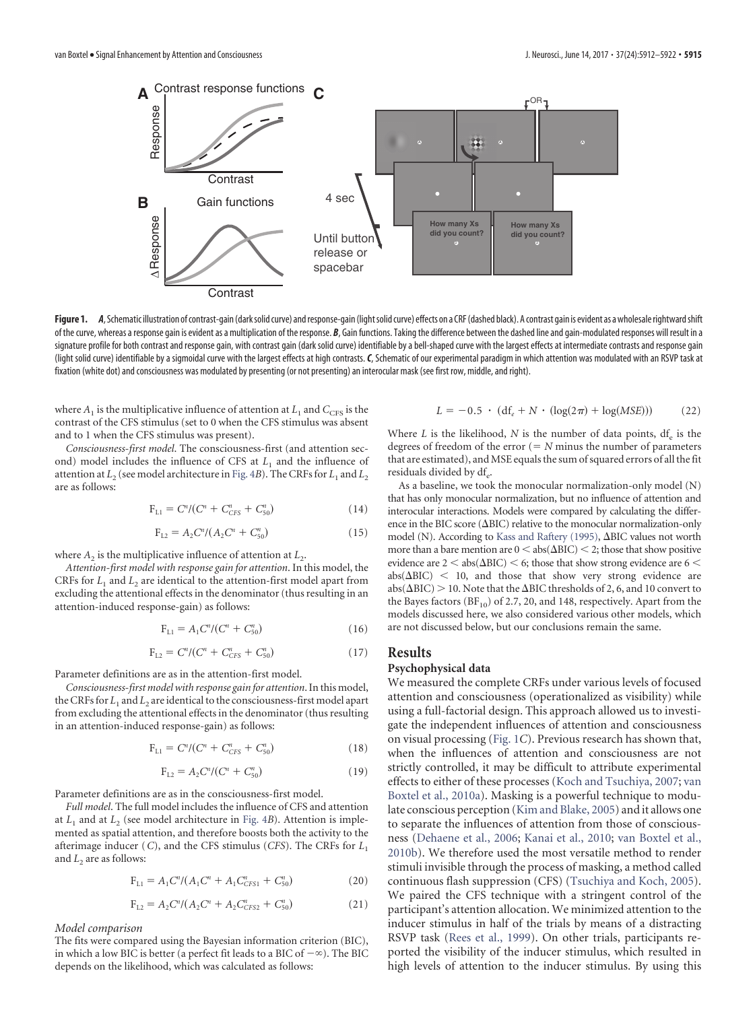

<span id="page-3-0"></span>Figure 1. *A*, Schematic illustration of contrast-gain (dark solid curve) and response-gain (light solid curve) effects on a CRF (dashed black). A contrast gain is evident as a wholesale rightward shift of the curve, whereas a response gain is evident as a multiplication of the response. B, Gain functions. Taking the difference between the dashed line and gain-modulated responses will result in a signature profile for both contrast and response gain, with contrast gain (dark solid curve) identifiable by a bell-shaped curve with the largest effects at intermediate contrasts and response gain (light solid curve) identifiable by a sigmoidal curve with the largest effects at high contrasts.*C*, Schematic of our experimental paradigm in which attention was modulated with an RSVP task at fixation (white dot) and consciousness was modulated by presenting (or not presenting) an interocular mask (see first row, middle, and right).

where  $A_1$  is the multiplicative influence of attention at  $L_1$  and  $C_{CFS}$  is the contrast of the CFS stimulus (set to 0 when the CFS stimulus was absent and to 1 when the CFS stimulus was present).

*Consciousness*-*first model*. The consciousness-first (and attention second) model includes the influence of CFS at  $L<sub>1</sub>$  and the influence of attention at  $L_2$  (see model architecture in [Fig. 4](#page-7-0)*B*). The CRFs for  $L_1$  and  $L_2$ are as follows:

$$
F_{L1} = C^n / (C^n + C^n_{CFS} + C^n_{50}) \tag{14}
$$

$$
F_{12} = A_2 C^n / (A_2 C^n + C_{50}^n)
$$
 (15)

where  $A_2$  is the multiplicative influence of attention at  $L_2$ .

*Attention*-*first model with response gain for attention*. In this model, the CRFs for  $L_1$  and  $L_2$  are identical to the attention-first model apart from excluding the attentional effects in the denominator (thus resulting in an attention-induced response-gain) as follows:

$$
F_{L1} = A_1 C^n / (C^n + C_{50}^n)
$$
 (16)

$$
F_{L2} = C^n / (C^n + C^n_{CFS} + C^n_{50})
$$
\n(17)

Parameter definitions are as in the attention-first model.

*Consciousness*-*first model with response gain for attention*. In this model, the CRFs for  $L_1$  and  $L_2$  are identical to the consciousness-first model apart from excluding the attentional effects in the denominator (thus resulting in an attention-induced response-gain) as follows:

$$
F_{L1} = C^n / (C^n + C^n_{CFS} + C^n_{50}) \tag{18}
$$

$$
F_{L2} = A_2 C''/(C^n + C_{50}^n)
$$
 (19)

Parameter definitions are as in the consciousness-first model.

*Full model*. The full model includes the influence of CFS and attention at  $L_1$  and at  $L_2$  (see model architecture in [Fig. 4](#page-7-0)*B*). Attention is implemented as spatial attention, and therefore boosts both the activity to the afterimage inducer (*C*), and the CFS stimulus (*CFS*). The CRFs for *L*<sup>1</sup> and  $L<sub>2</sub>$  are as follows:

$$
F_{L1} = A_1 C''/(A_1 C'' + A_1 C''_{CFS1} + C''_{50})
$$
\n(20)

$$
F_{L2} = A_2 C''/(A_2 C'' + A_2 C''_{CFS2} + C''_{50})
$$
\n(21)

*Model comparison*

The fits were compared using the Bayesian information criterion (BIC), in which a low BIC is better (a perfect fit leads to a BIC of  $-\infty$ ). The BIC depends on the likelihood, which was calculated as follows:

$$
L = -0.5 \cdot (df_e + N \cdot (\log(2\pi) + \log(MSE))) \tag{22}
$$

Where *L* is the likelihood, *N* is the number of data points,  $df_e$  is the degrees of freedom of the error  $(= N \text{ minus the number of parameters})$ that are estimated), and MSE equals the sum of squared errors of all the fit residuals divided by df<sub>e</sub>.

As a baseline, we took the monocular normalization-only model (N) that has only monocular normalization, but no influence of attention and interocular interactions. Models were compared by calculating the difference in the BIC score ( $\Delta$ BIC) relative to the monocular normalization-only model (N). According to [Kass and Raftery \(1995\),](#page-10-19)  $\Delta$ BIC values not worth more than a bare mention are  $0 <$  abs( $\Delta BIC$ )  $<$  2; those that show positive evidence are  $2 <$  abs( $\Delta$ BIC)  $<$  6; those that show strong evidence are 6  $<$  $abs(\Delta BIC)$  < 10, and those that show very strong evidence are abs( $\Delta BIC$ ) > 10. Note that the  $\Delta BIC$  thresholds of 2, 6, and 10 convert to the Bayes factors  $(BF_{10})$  of 2.7, 20, and 148, respectively. Apart from the models discussed here, we also considered various other models, which are not discussed below, but our conclusions remain the same.

# **Results**

# **Psychophysical data**

We measured the complete CRFs under various levels of focused attention and consciousness (operationalized as visibility) while using a full-factorial design. This approach allowed us to investigate the independent influences of attention and consciousness on visual processing [\(Fig. 1](#page-3-0)*C*). Previous research has shown that, when the influences of attention and consciousness are not strictly controlled, it may be difficult to attribute experimental effects to either of these processes [\(Koch and Tsuchiya, 2007;](#page-10-3) [van](#page-10-5) [Boxtel et al., 2010a\)](#page-10-5). Masking is a powerful technique to modulate conscious perception [\(Kim and Blake, 2005\)](#page-10-20) and it allows one to separate the influences of attention from those of consciousness [\(Dehaene et al., 2006;](#page-9-1) [Kanai et al., 2010;](#page-10-21) [van Boxtel et al.,](#page-10-10) [2010b\)](#page-10-10). We therefore used the most versatile method to render stimuli invisible through the process of masking, a method called continuous flash suppression (CFS) [\(Tsuchiya and Koch, 2005\)](#page-10-22). We paired the CFS technique with a stringent control of the participant's attention allocation. We minimized attention to the inducer stimulus in half of the trials by means of a distracting RSVP task [\(Rees et al., 1999\)](#page-10-23). On other trials, participants reported the visibility of the inducer stimulus, which resulted in high levels of attention to the inducer stimulus. By using this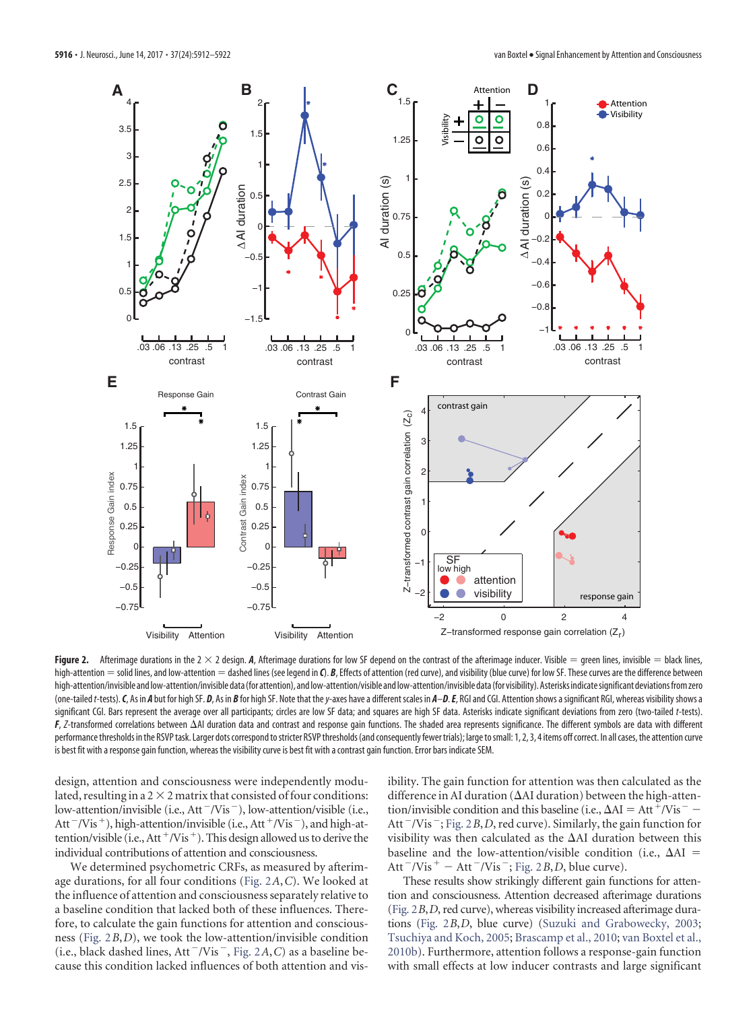

<span id="page-4-0"></span>Figure 2. Afterimage durations in the 2  $\times$  2 design. A, Afterimage durations for low SF depend on the contrast of the afterimage inducer. Visible  $=$  green lines, invisible  $=$  black lines, high-attention = solid lines, and low-attention = dashed lines (see legend in **C**). *B*, Effects of attention (red curve), and visibility (blue curve) for low SF. These curves are the difference between high-attention/invisible and low-attention/invisible data (for attention), and low-attention/visible and low-attention/invisible data (for visibility). Asterisks indicate significant deviations from zero (one-tailed t-tests). C, As in A but for high SF. D, As in B for high SF. Note that the y-axes have a different scales in A-D. E, RGI and CGI. Attention shows a significant RGI, whereas visibility shows a significant CGI. Bars represent the average over all participants; circles are low SF data; and squares are high SF data. Asterisks indicate significant deviations from zero (two-tailed *t*-tests). *F*, *Z*-transformed correlations between AI duration data and contrast and response gain functions. The shaded area represents significance. The different symbols are data with different performance thresholds in the RSVP task. Larger dots correspond to stricter RSVP thresholds (and consequently fewer trials); large to small: 1, 2, 3, 4 items off correct. In all cases, the attention curve is best fit with a response gain function, whereas the visibility curve is best fit with a contrast gain function. Error bars indicate SEM.

design, attention and consciousness were independently modulated, resulting in a  $2 \times 2$  matrix that consisted of four conditions: low-attention/invisible (i.e.,  $Att$ <sup>-</sup>/Vis<sup>-</sup>), low-attention/visible (i.e., Att<sup> $-V$ </sup>is<sup>+</sup>), high-attention/invisible (i.e., Att<sup>+</sup>/Vis<sup>-</sup>), and high-attention/visible (i.e., Att<sup>+</sup>/Vis<sup>+</sup>). This design allowed us to derive the individual contributions of attention and consciousness.

We determined psychometric CRFs, as measured by afterimage durations, for all four conditions [\(Fig. 2](#page-4-0)*A*,*C*). We looked at the influence of attention and consciousness separately relative to a baseline condition that lacked both of these influences. Therefore, to calculate the gain functions for attention and consciousness [\(Fig. 2](#page-4-0)*B*,*D*), we took the low-attention/invisible condition  $(i.e., black dashed lines, Att<sup>-</sup>/Vis<sup>-</sup>, Fig. 2A, C)$  $(i.e., black dashed lines, Att<sup>-</sup>/Vis<sup>-</sup>, Fig. 2A, C)$  $(i.e., black dashed lines, Att<sup>-</sup>/Vis<sup>-</sup>, Fig. 2A, C)$  as a baseline because this condition lacked influences of both attention and visibility. The gain function for attention was then calculated as the difference in AI duration ( $\Delta$ AI duration) between the high-attention/invisible condition and this baseline (i.e.,  $\Delta AI = Att^+/Vis^-$  – Att<sup>-</sup>/Vis<sup>-</sup>; [Fig. 2](#page-4-0)*B*, *D*, red curve). Similarly, the gain function for visibility was then calculated as the  $\Delta$ AI duration between this baseline and the low-attention/visible condition (i.e.,  $\Delta AI$  = Att  $\sqrt{V}$ is  $+$   $-$  Att  $\sqrt{V}$ is  $\sqrt{V}$ ; [Fig. 2](#page-4-0)*B*, *D*, blue curve).

These results show strikingly different gain functions for attention and consciousness. Attention decreased afterimage durations [\(Fig. 2](#page-4-0)*B*,*D*, red curve), whereas visibility increased afterimage durations [\(Fig. 2](#page-4-0)*B*,*D*, blue curve) [\(Suzuki and Grabowecky, 2003;](#page-10-24) [Tsuchiya and Koch, 2005;](#page-10-22) [Brascamp et al., 2010;](#page-9-4) [van Boxtel et al.,](#page-10-10) [2010b\)](#page-10-10). Furthermore, attention follows a response-gain function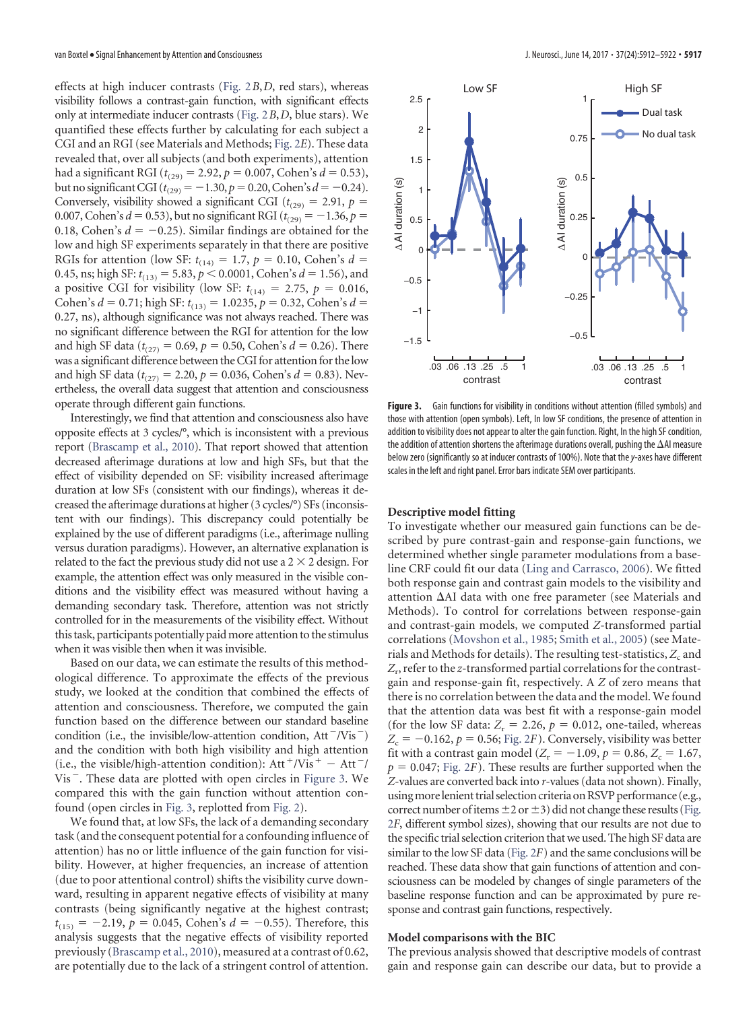effects at high inducer contrasts [\(Fig. 2](#page-4-0)*B*,*D*, red stars), whereas visibility follows a contrast-gain function, with significant effects only at intermediate inducer contrasts [\(Fig. 2](#page-4-0)*B*,*D*, blue stars). We quantified these effects further by calculating for each subject a CGI and an RGI (see Materials and Methods; [Fig. 2](#page-4-0)*E*). These data revealed that, over all subjects (and both experiments), attention had a significant RGI ( $t_{(29)} = 2.92$ ,  $p = 0.007$ , Cohen's  $d = 0.53$ ), but no significant CGI ( $t_{(29)} = -1.30$ ,  $p = 0.20$ , Cohen's  $d = -0.24$ ). Conversely, visibility showed a significant CGI ( $t_{(29)} = 2.91$ ,  $p =$ 0.007, Cohen's  $d = 0.53$ ), but no significant RGI ( $t_{(29)} = -1.36$ ,  $p =$ 0.18, Cohen's  $d = -0.25$ ). Similar findings are obtained for the low and high SF experiments separately in that there are positive RGIs for attention (low SF:  $t_{(14)} = 1.7$ ,  $p = 0.10$ , Cohen's  $d =$ 0.45, ns; high SF:  $t_{(13)} = 5.83$ ,  $p < 0.0001$ , Cohen's  $d = 1.56$ ), and a positive CGI for visibility (low SF:  $t_{(14)} = 2.75$ ,  $p = 0.016$ , Cohen's *d* = 0.71; high SF:  $t_{(13)} = 1.0235$ , *p* = 0.32, Cohen's *d* = 0.27, ns), although significance was not always reached. There was no significant difference between the RGI for attention for the low and high SF data ( $t_{(27)} = 0.69$ ,  $p = 0.50$ , Cohen's  $d = 0.26$ ). There was a significant difference between the CGI for attention for the low and high SF data ( $t_{(27)} = 2.20$ ,  $p = 0.036$ , Cohen's  $d = 0.83$ ). Nevertheless, the overall data suggest that attention and consciousness operate through different gain functions.

Interestingly, we find that attention and consciousness also have opposite effects at 3 cycles/°, which is inconsistent with a previous report [\(Brascamp et al., 2010\)](#page-9-4). That report showed that attention decreased afterimage durations at low and high SFs, but that the effect of visibility depended on SF: visibility increased afterimage duration at low SFs (consistent with our findings), whereas it decreased the afterimage durations at higher (3 cycles/°) SFs (inconsistent with our findings). This discrepancy could potentially be explained by the use of different paradigms (i.e., afterimage nulling versus duration paradigms). However, an alternative explanation is related to the fact the previous study did not use a  $2 \times 2$  design. For example, the attention effect was only measured in the visible conditions and the visibility effect was measured without having a demanding secondary task. Therefore, attention was not strictly controlled for in the measurements of the visibility effect. Without this task, participants potentially paidmore attention to the stimulus when it was visible then when it was invisible.

Based on our data, we can estimate the results of this methodological difference. To approximate the effects of the previous study, we looked at the condition that combined the effects of attention and consciousness. Therefore, we computed the gain function based on the difference between our standard baseline condition (i.e., the invisible/low-attention condition,  $Att^-/Vis^-$ ) and the condition with both high visibility and high attention (i.e., the visible/high-attention condition):  $Att^+/Vis^+ - Att^-/$  $Vis$ . These data are plotted with open circles in [Figure 3.](#page-5-0) We compared this with the gain function without attention confound (open circles in [Fig. 3,](#page-5-0) replotted from [Fig. 2\)](#page-4-0).

We found that, at low SFs, the lack of a demanding secondary task (and the consequent potential for a confounding influence of attention) has no or little influence of the gain function for visibility. However, at higher frequencies, an increase of attention (due to poor attentional control) shifts the visibility curve downward, resulting in apparent negative effects of visibility at many contrasts (being significantly negative at the highest contrast;  $t_{(15)} = -2.19$ ,  $p = 0.045$ , Cohen's  $d = -0.55$ ). Therefore, this analysis suggests that the negative effects of visibility reported previously [\(Brascamp et al., 2010\)](#page-9-4), measured at a contrast of 0.62, are potentially due to the lack of a stringent control of attention.



<span id="page-5-0"></span>Figure 3. Gain functions for visibility in conditions without attention (filled symbols) and those with attention (open symbols). Left, In low SF conditions, the presence of attention in addition to visibility does not appear to alter the gain function. Right, In the high SF condition, the addition of attention shortens the afterimage durations overall, pushing the  $\Delta$ AI measure below zero (significantly so at inducer contrasts of 100%). Note that the*y*-axes have different scales in the left and right panel. Error bars indicate SEM over participants.

## **Descriptive model fitting**

To investigate whether our measured gain functions can be described by pure contrast-gain and response-gain functions, we determined whether single parameter modulations from a baseline CRF could fit our data [\(Ling and Carrasco, 2006\)](#page-10-25). We fitted both response gain and contrast gain models to the visibility and attention  $\Delta$ AI data with one free parameter (see Materials and Methods). To control for correlations between response-gain and contrast-gain models, we computed *Z*-transformed partial correlations [\(Movshon et al., 1985;](#page-10-17) [Smith et al., 2005\)](#page-10-18) (see Materials and Methods for details). The resulting test-statistics,  $Z_c$  and *Z*r, refer to the *z*-transformed partial correlations for the contrastgain and response-gain fit, respectively. A *Z* of zero means that there is no correlation between the data and the model. We found that the attention data was best fit with a response-gain model (for the low SF data:  $Z_r = 2.26$ ,  $p = 0.012$ , one-tailed, whereas  $Z_c = -0.162$ ,  $p = 0.56$ ; [Fig. 2](#page-4-0)*F*). Conversely, visibility was better fit with a contrast gain model ( $Z_r = -1.09$ ,  $p = 0.86$ ,  $Z_c = 1.67$ ,  $p = 0.047$ ; [Fig. 2](#page-4-0)*F*). These results are further supported when the *Z*-values are converted back into *r*-values (data not shown). Finally, usingmorelenient trial selection criteria onRSVP performance (e.g., correct number of items  $\pm 2$  or  $\pm 3$ ) did not change these results [\(Fig.](#page-4-0) [2](#page-4-0)*F*, different symbol sizes), showing that our results are not due to the specific trial selection criterion that we used. The high SF data are similar to the low SF data [\(Fig. 2](#page-4-0)*F*) and the same conclusions will be reached. These data show that gain functions of attention and consciousness can be modeled by changes of single parameters of the baseline response function and can be approximated by pure response and contrast gain functions, respectively.

## **Model comparisons with the BIC**

The previous analysis showed that descriptive models of contrast gain and response gain can describe our data, but to provide a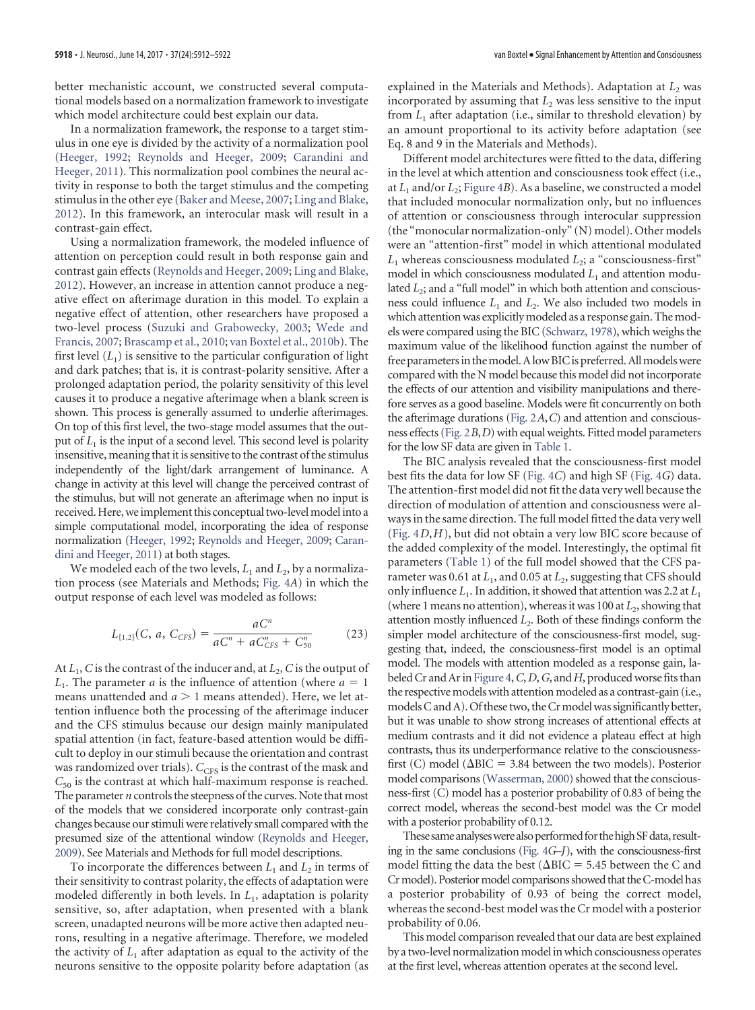better mechanistic account, we constructed several computational models based on a normalization framework to investigate which model architecture could best explain our data.

In a normalization framework, the response to a target stimulus in one eye is divided by the activity of a normalization pool [\(Heeger, 1992;](#page-9-9) [Reynolds and Heeger, 2009;](#page-10-12) [Carandini and](#page-9-10) [Heeger, 2011\)](#page-9-10). This normalization pool combines the neural activity in response to both the target stimulus and the competing stimulus in the other eye [\(Baker and Meese, 2007;](#page-9-11) [Ling and Blake,](#page-10-26) [2012\)](#page-10-26). In this framework, an interocular mask will result in a contrast-gain effect.

Using a normalization framework, the modeled influence of attention on perception could result in both response gain and contrast gain effects [\(Reynolds and Heeger, 2009;](#page-10-12) [Ling and Blake,](#page-10-26) [2012\)](#page-10-26). However, an increase in attention cannot produce a negative effect on afterimage duration in this model. To explain a negative effect of attention, other researchers have proposed a two-level process [\(Suzuki and Grabowecky, 2003;](#page-10-24) [Wede and](#page-10-27) [Francis, 2007;](#page-10-27) [Brascamp et al., 2010;](#page-9-4) [van Boxtel et al., 2010b\)](#page-10-10). The first level  $(L_1)$  is sensitive to the particular configuration of light and dark patches; that is, it is contrast-polarity sensitive. After a prolonged adaptation period, the polarity sensitivity of this level causes it to produce a negative afterimage when a blank screen is shown. This process is generally assumed to underlie afterimages. On top of this first level, the two-stage model assumes that the output of  $L<sub>1</sub>$  is the input of a second level. This second level is polarity insensitive, meaning that it is sensitive to the contrast of the stimulus independently of the light/dark arrangement of luminance. A change in activity at this level will change the perceived contrast of the stimulus, but will not generate an afterimage when no input is received. Here, we implement this conceptual two-level model into a simple computational model, incorporating the idea of response normalization [\(Heeger, 1992;](#page-9-9) [Reynolds and Heeger, 2009;](#page-10-12) [Caran](#page-9-10)[dini and Heeger, 2011\)](#page-9-10) at both stages.

We modeled each of the two levels,  $L_1$  and  $L_2$ , by a normalization process (see Materials and Methods; [Fig. 4](#page-7-0)*A*) in which the output response of each level was modeled as follows:

$$
L_{\{1,2\}}(C, a, C_{CFS}) = \frac{aC^n}{aC^n + aC_{CFS}^n + C_{50}^n}
$$
 (23)

At  $L_1$ , *C* is the contrast of the inducer and, at  $L_2$ , *C* is the output of  $L_1$ . The parameter *a* is the influence of attention (where  $a = 1$ ) means unattended and  $a > 1$  means attended). Here, we let attention influence both the processing of the afterimage inducer and the CFS stimulus because our design mainly manipulated spatial attention (in fact, feature-based attention would be difficult to deploy in our stimuli because the orientation and contrast was randomized over trials).  $C_{\text{CFS}}$  is the contrast of the mask and *C*<sup>50</sup> is the contrast at which half-maximum response is reached. The parameter *n* controls the steepness of the curves. Note that most of the models that we considered incorporate only contrast-gain changes because our stimuli were relatively small compared with the presumed size of the attentional window [\(Reynolds and Heeger,](#page-10-12) [2009\)](#page-10-12). See Materials and Methods for full model descriptions.

To incorporate the differences between  $L_1$  and  $L_2$  in terms of their sensitivity to contrast polarity, the effects of adaptation were modeled differently in both levels. In *L*1, adaptation is polarity sensitive, so, after adaptation, when presented with a blank screen, unadapted neurons will be more active then adapted neurons, resulting in a negative afterimage. Therefore, we modeled the activity of  $L_1$  after adaptation as equal to the activity of the neurons sensitive to the opposite polarity before adaptation (as explained in the Materials and Methods). Adaptation at  $L<sub>2</sub>$  was incorporated by assuming that  $L_2$  was less sensitive to the input from *L*<sub>1</sub> after adaptation (i.e., similar to threshold elevation) by an amount proportional to its activity before adaptation (see Eq. 8 and 9 in the Materials and Methods).

Different model architectures were fitted to the data, differing in the level at which attention and consciousness took effect (i.e., at  $L_1$  and/or  $L_2$ ; [Figure 4](#page-7-0)*B*). As a baseline, we constructed a model that included monocular normalization only, but no influences of attention or consciousness through interocular suppression (the "monocular normalization-only" (N) model). Other models were an "attention-first" model in which attentional modulated  $L<sub>1</sub>$  whereas consciousness modulated  $L<sub>2</sub>$ ; a "consciousness-first" model in which consciousness modulated  $L_1$  and attention modulated *L*<sub>2</sub>; and a "full model" in which both attention and consciousness could influence  $L_1$  and  $L_2$ . We also included two models in which attention was explicitly modeled as a response gain. The models were compared using the BIC [\(Schwarz, 1978\)](#page-10-28), which weighs the maximum value of the likelihood function against the number of free parameters in the model. A low BIC is preferred. All models were compared with the N model because this model did not incorporate the effects of our attention and visibility manipulations and therefore serves as a good baseline. Models were fit concurrently on both the afterimage durations [\(Fig. 2](#page-4-0)*A*,*C*) and attention and consciousness effects [\(Fig. 2](#page-4-0)*B*,*D*) with equal weights. Fitted model parameters for the low SF data are given in [Table 1.](#page-8-0)

The BIC analysis revealed that the consciousness-first model best fits the data for low SF [\(Fig. 4](#page-7-0)*C*) and high SF [\(Fig. 4](#page-7-0)*G*) data. The attention-first model did not fit the data very well because the direction of modulation of attention and consciousness were always in the same direction. The full model fitted the data very well [\(Fig. 4](#page-7-0)*D*,*H*), but did not obtain a very low BIC score because of the added complexity of the model. Interestingly, the optimal fit parameters [\(Table 1\)](#page-8-0) of the full model showed that the CFS parameter was 0.61 at  $L_1$ , and 0.05 at  $L_2$ , suggesting that CFS should only influence  $L_1$ . In addition, it showed that attention was 2.2 at  $L_1$ (where 1 means no attention), whereas it was 100 at  $L_2$ , showing that attention mostly influenced *L*2. Both of these findings conform the simpler model architecture of the consciousness-first model, suggesting that, indeed, the consciousness-first model is an optimal model. The models with attention modeled as a response gain, labeled Cr and Ar in [Figure 4,](#page-7-0)*C*,*D*,*G*, and*H*, produced worsefits than the respective models with attention modeled as a contrast-gain (i.e., models C and A). Of these two, the Cr model was significantly better, but it was unable to show strong increases of attentional effects at medium contrasts and it did not evidence a plateau effect at high contrasts, thus its underperformance relative to the consciousnessfirst (C) model ( $\Delta BIC = 3.84$  between the two models). Posterior model comparisons [\(Wasserman, 2000\)](#page-10-29) showed that the consciousness-first (C) model has a posterior probability of 0.83 of being the correct model, whereas the second-best model was the Cr model with a posterior probability of 0.12.

These same analyses were also performed for the high SF data, resulting in the same conclusions [\(Fig. 4](#page-7-0)*G*–*J*), with the consciousness-first model fitting the data the best ( $\Delta BIC = 5.45$  between the C and Cr model). Posterior model comparisons showed that the C-model has a posterior probability of 0.93 of being the correct model, whereas the second-best model was the Cr model with a posterior probability of 0.06.

This model comparison revealed that our data are best explained by a two-level normalization model in which consciousness operates at the first level, whereas attention operates at the second level.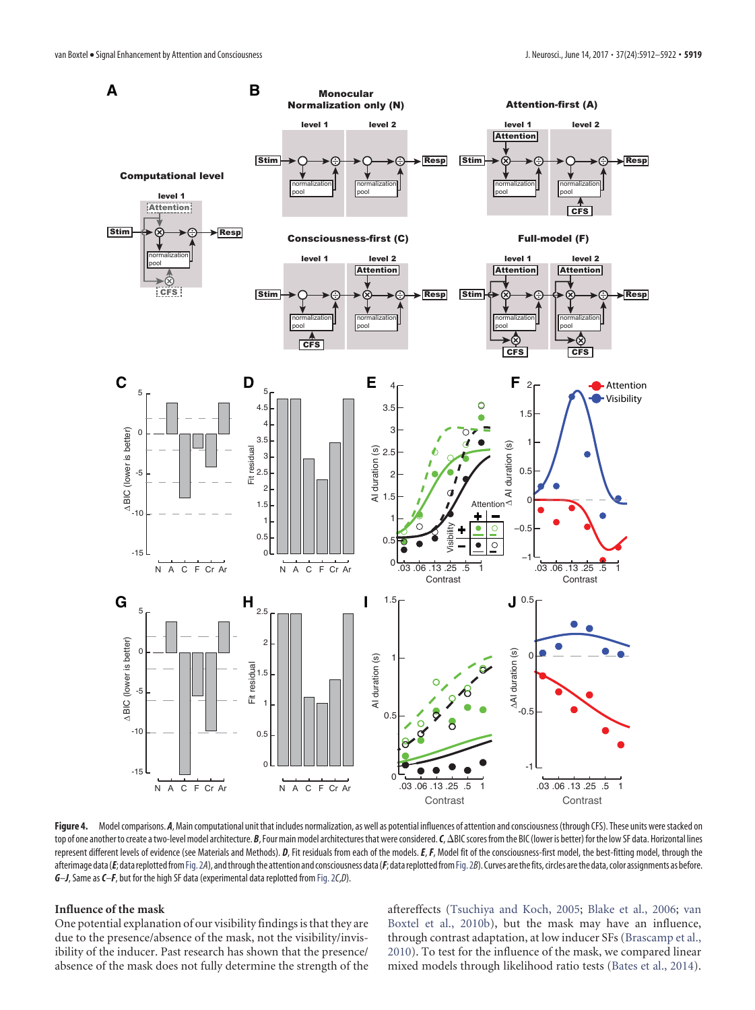

<span id="page-7-0"></span>Figure 4. Model comparisons. A, Main computational unit that includes normalization, as well as potential influences of attention and consciousness (through CFS). These units were stacked on top of one another to create a two-level model architecture. *B*, Four main model architectures that were considered. *C*,  $\Delta$ BIC scores from the BIC (lower is better) for the low SF data. Horizontal lines represent different levels of evidence (see Materials and Methods). *D*, Fit residuals from each of the models. *E*, *F*, Model fit of the consciousness-first model, the best-fitting model, through the afterimage data (*E*; data replotted from Fig. 2A), and through the attention and consciousness data (*F*; data replotted from Fig. 2B). Curves are the fits, circles are the data, color assignments as before. *G*–*J*, Same as*C*–*F*, but for the high SF data (experimental data replotted from [Fig. 2](#page-4-0)*C*,*D*).

## **Influence of the mask**

One potential explanation of our visibility findings is that they are due to the presence/absence of the mask, not the visibility/invisibility of the inducer. Past research has shown that the presence/ absence of the mask does not fully determine the strength of the aftereffects [\(Tsuchiya and Koch, 2005;](#page-10-22) [Blake et al., 2006;](#page-9-12) [van](#page-10-10) [Boxtel et al., 2010b\)](#page-10-10), but the mask may have an influence, through contrast adaptation, at low inducer SFs [\(Brascamp et al.,](#page-9-4) [2010\)](#page-9-4). To test for the influence of the mask, we compared linear mixed models through likelihood ratio tests [\(Bates et al., 2014\)](#page-9-13).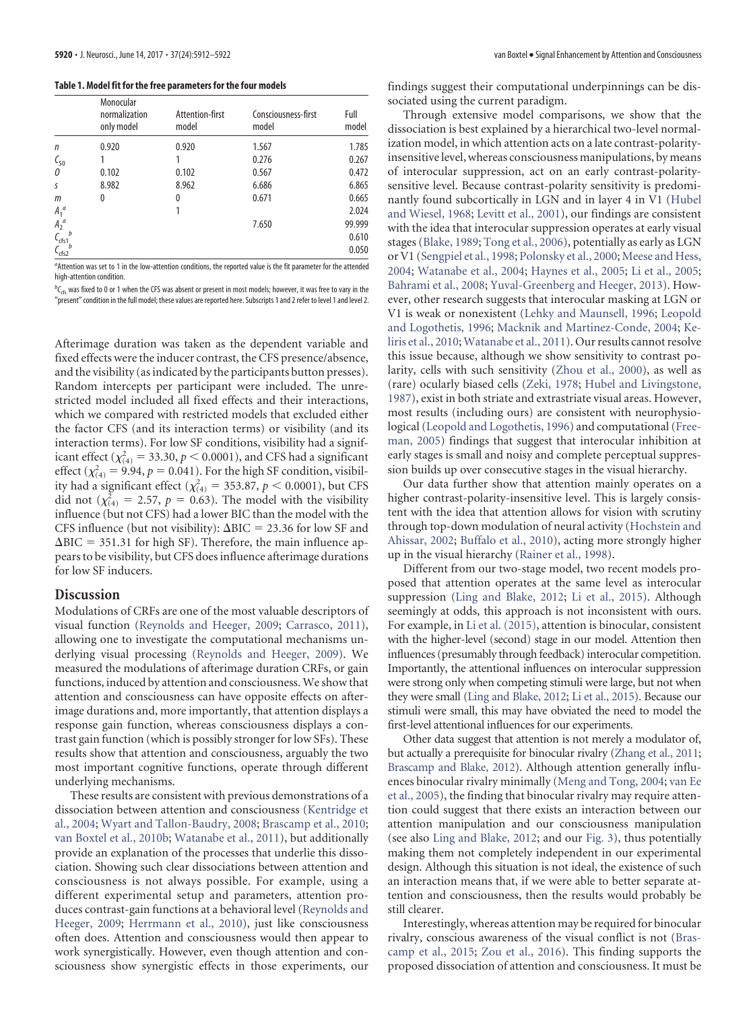<span id="page-8-0"></span>**Table 1. Model fit for the free parameters for the four models**

|                              | Monocular<br>normalization<br>only model | Attention-first<br>model | Consciousness-first<br>model | Full<br>model |
|------------------------------|------------------------------------------|--------------------------|------------------------------|---------------|
| $\mathsf{n}$                 | 0.920                                    | 0.920                    | 1.567                        | 1.785         |
| $\zeta_{50}$                 |                                          |                          | 0.276                        | 0.267         |
| 0                            | 0.102                                    | 0.102                    | 0.567                        | 0.472         |
| S                            | 8.982                                    | 8.962                    | 6.686                        | 6.865         |
| m                            | 0                                        | 0                        | 0.671                        | 0.665         |
| $A_1^a$                      |                                          |                          |                              | 2.024         |
| $A_2^a$                      |                                          |                          | 7.650                        | 99.999        |
| $\mathfrak{c}_{\text{crs1}}$ |                                          |                          |                              | 0.610         |
| ۔<br>dfs2-                   |                                          |                          |                              | 0.050         |

*a* Attention was set to 1 in the low-attention conditions, the reported value is the fit parameter for the attended high-attention condition.

 $^bC_{\rm{cfs}}$  was fixed to 0 or 1 when the CFS was absent or present in most models; however, it was free to vary in the "present" condition in the full model; these values are reported here. Subscripts 1 and 2 refer to level 1 and level 2.

Afterimage duration was taken as the dependent variable and fixed effects were the inducer contrast, the CFS presence/absence, and the visibility (as indicated by the participants button presses). Random intercepts per participant were included. The unrestricted model included all fixed effects and their interactions, which we compared with restricted models that excluded either the factor CFS (and its interaction terms) or visibility (and its interaction terms). For low SF conditions, visibility had a significant effect ( $\chi^2_{(4)} = 33.30, p < 0.0001$ ), and CFS had a significant effect  $(\chi^2_{(4)} = 9.94, p = 0.041)$ . For the high SF condition, visibility had a significant effect ( $\chi^2_{(4)} = 353.87, p < 0.0001$ ), but CFS did not  $(\chi^2_{(4)} = 2.57, p = 0.63)$ . The model with the visibility influence (but not CFS) had a lower BIC than the model with the CFS influence (but not visibility):  $\Delta BIC = 23.36$  for low SF and  $\Delta BIC = 351.31$  for high SF). Therefore, the main influence appears to be visibility, but CFS does influence afterimage durations for low SF inducers.

## **Discussion**

Modulations of CRFs are one of the most valuable descriptors of visual function [\(Reynolds and Heeger, 2009;](#page-10-12) [Carrasco, 2011\)](#page-9-6), allowing one to investigate the computational mechanisms underlying visual processing [\(Reynolds and Heeger, 2009\)](#page-10-12). We measured the modulations of afterimage duration CRFs, or gain functions, induced by attention and consciousness. We show that attention and consciousness can have opposite effects on afterimage durations and, more importantly, that attention displays a response gain function, whereas consciousness displays a contrast gain function (which is possibly stronger for low SFs). These results show that attention and consciousness, arguably the two most important cognitive functions, operate through different underlying mechanisms.

These results are consistent with previous demonstrations of a dissociation between attention and consciousness [\(Kentridge et](#page-10-8) [al., 2004;](#page-10-8) [Wyart and Tallon-Baudry, 2008;](#page-10-9) [Brascamp et al., 2010;](#page-9-4) [van Boxtel et al., 2010b;](#page-10-10) [Watanabe et al., 2011\)](#page-10-11), but additionally provide an explanation of the processes that underlie this dissociation. Showing such clear dissociations between attention and consciousness is not always possible. For example, using a different experimental setup and parameters, attention produces contrast-gain functions at a behavioral level [\(Reynolds and](#page-10-12) [Heeger, 2009;](#page-10-12) [Herrmann et al., 2010\)](#page-9-8), just like consciousness often does. Attention and consciousness would then appear to work synergistically. However, even though attention and consciousness show synergistic effects in those experiments, our findings suggest their computational underpinnings can be dissociated using the current paradigm.

Through extensive model comparisons, we show that the dissociation is best explained by a hierarchical two-level normalization model, in which attention acts on a late contrast-polarityinsensitive level, whereas consciousness manipulations, by means of interocular suppression, act on an early contrast-polaritysensitive level. Because contrast-polarity sensitivity is predominantly found subcortically in LGN and in layer 4 in V1 [\(Hubel](#page-10-30) [and Wiesel, 1968;](#page-10-30) [Levitt et al., 2001\)](#page-10-31), our findings are consistent with the idea that interocular suppression operates at early visual stages [\(Blake, 1989;](#page-9-14) [Tong et al., 2006\)](#page-10-32), potentially as early as LGN or V1 [\(Sengpiel et al., 1998;](#page-10-13) [Polonsky et al., 2000;](#page-10-33) [Meese and Hess,](#page-10-34) [2004;](#page-10-34) [Watanabe et al., 2004;](#page-10-14) [Haynes et al., 2005;](#page-9-15) [Li et al., 2005;](#page-10-15) [Bahrami et al., 2008;](#page-9-7) [Yuval-Greenberg and Heeger, 2013\)](#page-10-16). However, other research suggests that interocular masking at LGN or V1 is weak or nonexistent [\(Lehky and Maunsell, 1996;](#page-10-35) [Leopold](#page-10-36) [and Logothetis, 1996;](#page-10-36) [Macknik and Martinez-Conde, 2004;](#page-10-37) [Ke](#page-10-38)[liris et al., 2010;](#page-10-38) [Watanabe et al., 2011\)](#page-10-11). Our results cannot resolve this issue because, although we show sensitivity to contrast polarity, cells with such sensitivity [\(Zhou et al., 2000\)](#page-10-39), as well as (rare) ocularly biased cells [\(Zeki, 1978;](#page-10-40) [Hubel and Livingstone,](#page-10-41) [1987\)](#page-10-41), exist in both striate and extrastriate visual areas. However, most results (including ours) are consistent with neurophysiological [\(Leopold and Logothetis, 1996\)](#page-10-36) and computational [\(Free](#page-9-16)[man, 2005\)](#page-9-16) findings that suggest that interocular inhibition at early stages is small and noisy and complete perceptual suppression builds up over consecutive stages in the visual hierarchy.

Our data further show that attention mainly operates on a higher contrast-polarity-insensitive level. This is largely consistent with the idea that attention allows for vision with scrutiny through top-down modulation of neural activity [\(Hochstein and](#page-9-17) [Ahissar, 2002;](#page-9-17) [Buffalo et al., 2010\)](#page-9-18), acting more strongly higher up in the visual hierarchy [\(Rainer et al., 1998\)](#page-10-42).

Different from our two-stage model, two recent models proposed that attention operates at the same level as interocular suppression [\(Ling and Blake, 2012;](#page-10-26) [Li et al., 2015\)](#page-10-43). Although seemingly at odds, this approach is not inconsistent with ours. For example, in [Li et al. \(2015\),](#page-10-43) attention is binocular, consistent with the higher-level (second) stage in our model. Attention then influences (presumably through feedback) interocular competition. Importantly, the attentional influences on interocular suppression were strong only when competing stimuli were large, but not when they were small [\(Ling and Blake, 2012;](#page-10-26) [Li et al., 2015\)](#page-10-43). Because our stimuli were small, this may have obviated the need to model the first-level attentional influences for our experiments.

Other data suggest that attention is not merely a modulator of, but actually a prerequisite for binocular rivalry [\(Zhang et al., 2011;](#page-10-44) [Brascamp and Blake, 2012\)](#page-9-19). Although attention generally influences binocular rivalry minimally [\(Meng and Tong, 2004;](#page-10-45) [van Ee](#page-10-46) [et al., 2005\)](#page-10-46), the finding that binocular rivalry may require attention could suggest that there exists an interaction between our attention manipulation and our consciousness manipulation (see also [Ling and Blake, 2012;](#page-10-26) and our [Fig. 3\)](#page-5-0), thus potentially making them not completely independent in our experimental design. Although this situation is not ideal, the existence of such an interaction means that, if we were able to better separate attention and consciousness, then the results would probably be still clearer.

Interestingly, whereas attention may be required for binocular rivalry, conscious awareness of the visual conflict is not [\(Bras](#page-9-20)[camp et al., 2015;](#page-9-20) [Zou et al., 2016\)](#page-10-47). This finding supports the proposed dissociation of attention and consciousness. It must be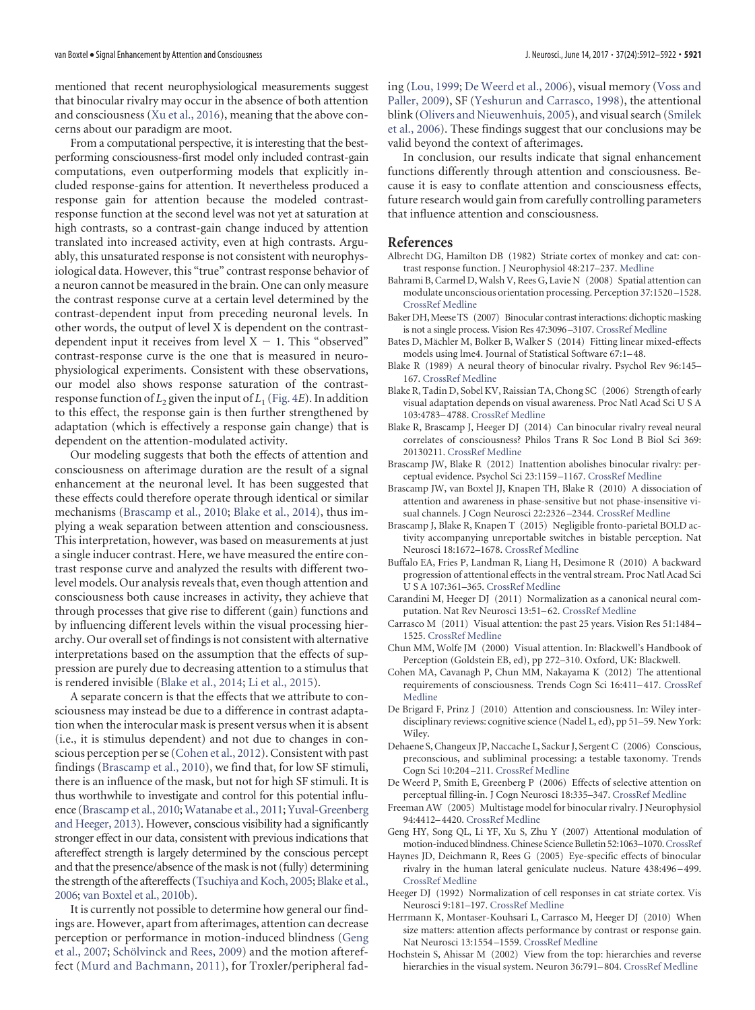mentioned that recent neurophysiological measurements suggest that binocular rivalry may occur in the absence of both attention and consciousness [\(Xu et al., 2016\)](#page-10-48), meaning that the above concerns about our paradigm are moot.

From a computational perspective, it is interesting that the bestperforming consciousness-first model only included contrast-gain computations, even outperforming models that explicitly included response-gains for attention. It nevertheless produced a response gain for attention because the modeled contrastresponse function at the second level was not yet at saturation at high contrasts, so a contrast-gain change induced by attention translated into increased activity, even at high contrasts. Arguably, this unsaturated response is not consistent with neurophysiological data. However, this "true" contrast response behavior of a neuron cannot be measured in the brain. One can only measure the contrast response curve at a certain level determined by the contrast-dependent input from preceding neuronal levels. In other words, the output of level X is dependent on the contrastdependent input it receives from level  $X - 1$ . This "observed" contrast-response curve is the one that is measured in neurophysiological experiments. Consistent with these observations, our model also shows response saturation of the contrastresponse function of  $L_2$  given the input of  $L_1$  [\(Fig. 4](#page-7-0)*E*). In addition to this effect, the response gain is then further strengthened by adaptation (which is effectively a response gain change) that is dependent on the attention-modulated activity.

Our modeling suggests that both the effects of attention and consciousness on afterimage duration are the result of a signal enhancement at the neuronal level. It has been suggested that these effects could therefore operate through identical or similar mechanisms [\(Brascamp et al., 2010;](#page-9-4) [Blake et al., 2014\)](#page-9-21), thus implying a weak separation between attention and consciousness. This interpretation, however, was based on measurements at just a single inducer contrast. Here, we have measured the entire contrast response curve and analyzed the results with different twolevel models. Our analysis reveals that, even though attention and consciousness both cause increases in activity, they achieve that through processes that give rise to different (gain) functions and by influencing different levels within the visual processing hierarchy. Our overall set of findings is not consistent with alternative interpretations based on the assumption that the effects of suppression are purely due to decreasing attention to a stimulus that is rendered invisible [\(Blake et al., 2014;](#page-9-21) [Li et al., 2015\)](#page-10-43).

A separate concern is that the effects that we attribute to consciousness may instead be due to a difference in contrast adaptation when the interocular mask is present versus when it is absent (i.e., it is stimulus dependent) and not due to changes in conscious perception per se [\(Cohen et al., 2012\)](#page-9-3). Consistent with past findings [\(Brascamp et al., 2010\)](#page-9-4), we find that, for low SF stimuli, there is an influence of the mask, but not for high SF stimuli. It is thus worthwhile to investigate and control for this potential influ-ence [\(Brascamp et al., 2010;](#page-9-4) [Watanabe et al., 2011;](#page-10-11) [Yuval-Greenberg](#page-10-16) [and Heeger, 2013\)](#page-10-16). However, conscious visibility had a significantly stronger effect in our data, consistent with previous indications that aftereffect strength is largely determined by the conscious percept and that the presence/absence of the mask is not (fully) determining the strength of the aftereffects [\(Tsuchiya and Koch, 2005;](#page-10-22) [Blake et al.,](#page-9-12) [2006;](#page-9-12) [van Boxtel et al., 2010b\)](#page-10-10).

It is currently not possible to determine how general our findings are. However, apart from afterimages, attention can decrease perception or performance in motion-induced blindness [\(Geng](#page-9-22) [et al., 2007;](#page-9-22) Schölvinck and Rees, 2009) and the motion aftereffect [\(Murd and Bachmann, 2011\)](#page-10-50), for Troxler/peripheral fading [\(Lou, 1999;](#page-10-51) [De Weerd et al., 2006\)](#page-9-23), visual memory [\(Voss and](#page-10-52) [Paller, 2009\)](#page-10-52), SF [\(Yeshurun and Carrasco, 1998\)](#page-10-53), the attentional blink [\(Olivers and Nieuwenhuis, 2005\)](#page-10-54), and visual search [\(Smilek](#page-10-55) [et al., 2006\)](#page-10-55). These findings suggest that our conclusions may be valid beyond the context of afterimages.

In conclusion, our results indicate that signal enhancement functions differently through attention and consciousness. Because it is easy to conflate attention and consciousness effects, future research would gain from carefully controlling parameters that influence attention and consciousness.

## **References**

- <span id="page-9-5"></span>Albrecht DG, Hamilton DB (1982) Striate cortex of monkey and cat: contrast response function. J Neurophysiol 48:217–237. [Medline](http://www.ncbi.nlm.nih.gov/pubmed/7119846)
- <span id="page-9-7"></span>Bahrami B, Carmel D, Walsh V, Rees G, Lavie N (2008) Spatial attention can modulate unconscious orientation processing. Perception 37:1520 –1528. [CrossRef](http://dx.doi.org/10.1068/p5999) [Medline](http://www.ncbi.nlm.nih.gov/pubmed/19065856)
- <span id="page-9-11"></span>Baker DH, Meese TS (2007) Binocular contrast interactions: dichoptic masking is not a single process. Vision Res 47:3096 –3107. [CrossRef](http://dx.doi.org/10.1016/j.visres.2007.08.013) [Medline](http://www.ncbi.nlm.nih.gov/pubmed/17904610)
- <span id="page-9-13"></span>Bates D, Mächler M, Bolker B, Walker S (2014) Fitting linear mixed-effects models using lme4. Journal of Statistical Software 67:1–48.
- <span id="page-9-14"></span>Blake R (1989) A neural theory of binocular rivalry. Psychol Rev 96:145– 167. [CrossRef](http://dx.doi.org/10.1037/0033-295X.96.1.145) [Medline](http://www.ncbi.nlm.nih.gov/pubmed/2648445)
- <span id="page-9-12"></span>Blake R, Tadin D, Sobel KV, Raissian TA, Chong SC (2006) Strength of early visual adaptation depends on visual awareness. Proc Natl Acad Sci U S A 103:4783–4788. [CrossRef](http://dx.doi.org/10.1073/pnas.0509634103) [Medline](http://www.ncbi.nlm.nih.gov/pubmed/16537384)
- <span id="page-9-21"></span>Blake R, Brascamp J, Heeger DJ (2014) Can binocular rivalry reveal neural correlates of consciousness? Philos Trans R Soc Lond B Biol Sci 369: 20130211. [CrossRef](http://dx.doi.org/10.1098/rstb.2013.0211) [Medline](http://www.ncbi.nlm.nih.gov/pubmed/24639582)
- <span id="page-9-19"></span>Brascamp JW, Blake R (2012) Inattention abolishes binocular rivalry: perceptual evidence. Psychol Sci 23:1159 –1167. [CrossRef](http://dx.doi.org/10.1177/0956797612440100) [Medline](http://www.ncbi.nlm.nih.gov/pubmed/22933458)
- <span id="page-9-4"></span>Brascamp JW, van Boxtel JJ, Knapen TH, Blake R (2010) A dissociation of attention and awareness in phase-sensitive but not phase-insensitive visual channels. J Cogn Neurosci 22:2326 –2344. [CrossRef](http://dx.doi.org/10.1162/jocn.2009.21397) [Medline](http://www.ncbi.nlm.nih.gov/pubmed/19929762)
- <span id="page-9-20"></span>Brascamp J, Blake R, Knapen T (2015) Negligible fronto-parietal BOLD activity accompanying unreportable switches in bistable perception. Nat Neurosci 18:1672–1678. [CrossRef](http://dx.doi.org/10.1038/nn.4130) [Medline](http://www.ncbi.nlm.nih.gov/pubmed/26436901)
- <span id="page-9-18"></span>Buffalo EA, Fries P, Landman R, Liang H, Desimone R (2010) A backward progression of attentional effects in the ventral stream. Proc Natl Acad Sci U S A 107:361–365. [CrossRef](http://dx.doi.org/10.1073/pnas.0907658106) [Medline](http://www.ncbi.nlm.nih.gov/pubmed/20007766)
- <span id="page-9-10"></span>Carandini M, Heeger DJ (2011) Normalization as a canonical neural computation. Nat Rev Neurosci 13:51–62. [CrossRef](http://dx.doi.org/10.1038/nrc3398) [Medline](http://www.ncbi.nlm.nih.gov/pubmed/22108672)
- <span id="page-9-6"></span>Carrasco M (2011) Visual attention: the past 25 years. Vision Res 51:1484 – 1525. [CrossRef](http://dx.doi.org/10.1016/j.visres.2011.04.012) [Medline](http://www.ncbi.nlm.nih.gov/pubmed/21549742)
- <span id="page-9-0"></span>Chun MM, Wolfe JM (2000) Visual attention. In: Blackwell's Handbook of Perception (Goldstein EB, ed), pp 272–310. Oxford, UK: Blackwell.
- <span id="page-9-3"></span>Cohen MA, Cavanagh P, Chun MM, Nakayama K (2012) The attentional requirements of consciousness. Trends Cogn Sci 16:411–417. [CrossRef](http://dx.doi.org/10.1016/j.tics.2012.06.013) [Medline](http://www.ncbi.nlm.nih.gov/pubmed/22795561)
- <span id="page-9-2"></span>De Brigard F, Prinz J (2010) Attention and consciousness. In: Wiley interdisciplinary reviews: cognitive science (Nadel L, ed), pp 51–59. New York: Wiley.
- <span id="page-9-1"></span>Dehaene S, Changeux JP, Naccache L, Sackur J, Sergent C (2006) Conscious, preconscious, and subliminal processing: a testable taxonomy. Trends Cogn Sci 10:204 –211. [CrossRef](http://dx.doi.org/10.1016/j.tics.2006.03.007) [Medline](http://www.ncbi.nlm.nih.gov/pubmed/16603406)
- <span id="page-9-23"></span>De Weerd P, Smith E, Greenberg P (2006) Effects of selective attention on perceptual filling-in. J Cogn Neurosci 18:335–347. [CrossRef](http://dx.doi.org/10.1162/jocn.2006.18.3.335) [Medline](http://www.ncbi.nlm.nih.gov/pubmed/16513000)
- <span id="page-9-16"></span>Freeman AW (2005) Multistage model for binocular rivalry. J Neurophysiol 94:4412–4420. [CrossRef](http://dx.doi.org/10.1152/jn.00557.2005) [Medline](http://www.ncbi.nlm.nih.gov/pubmed/16148271)
- <span id="page-9-22"></span>Geng HY, Song QL, Li YF, Xu S, Zhu Y (2007) Attentional modulation of motion-induced blindness.Chinese Science Bulletin 52:1063–1070.[CrossRef](http://dx.doi.org/10.1007/s11434-007-0178-0)
- <span id="page-9-15"></span>Haynes JD, Deichmann R, Rees G (2005) Eye-specific effects of binocular rivalry in the human lateral geniculate nucleus. Nature 438:496 –499. [CrossRef](http://dx.doi.org/10.1038/nature04169) [Medline](http://www.ncbi.nlm.nih.gov/pubmed/16244649)
- <span id="page-9-9"></span>Heeger DJ (1992) Normalization of cell responses in cat striate cortex. Vis Neurosci 9:181–197. [CrossRef](http://dx.doi.org/10.1017/S0952523800009640) [Medline](http://www.ncbi.nlm.nih.gov/pubmed/1504027)
- <span id="page-9-8"></span>Herrmann K, Montaser-Kouhsari L, Carrasco M, Heeger DJ (2010) When size matters: attention affects performance by contrast or response gain. Nat Neurosci 13:1554 –1559. [CrossRef](http://dx.doi.org/10.1038/nn.2669) [Medline](http://www.ncbi.nlm.nih.gov/pubmed/21057509)
- <span id="page-9-17"></span>Hochstein S, Ahissar M (2002) View from the top: hierarchies and reverse hierarchies in the visual system. Neuron 36:791–804. [CrossRef](http://dx.doi.org/10.1016/S0896-6273(02)01091-7) [Medline](http://www.ncbi.nlm.nih.gov/pubmed/12467584)